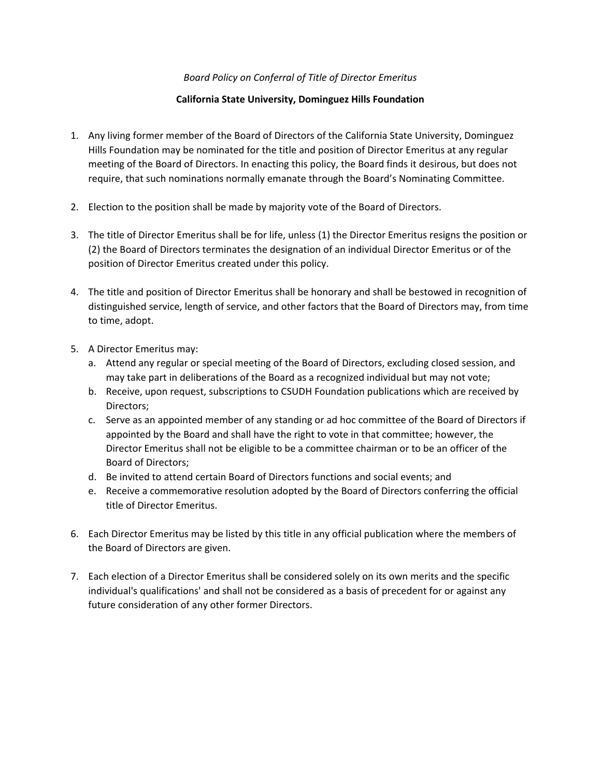## *Board Policy on Conferral of Title of Director Emeritus*

## **California State University, Dominguez Hills Foundation**

- 1. Any living former member of the Board of Directors of the California State University, Dominguez Hills Foundation may be nominated for the title and position of Director Emeritus at any regular meeting of the Board of Directors. In enacting this policy, the Board finds it desirous, but does not require, that such nominations normally emanate through the Board's Nominating Committee.
- 2. Election to the position shall be made by majority vote of the Board of Directors.
- 3. The title of Director Emeritus shall be for life, unless (1) the Director Emeritus resigns the position or (2) the Board of Directors terminates the designation of an individual Director Emeritus or of the position of Director Emeritus created under this policy.
- 4. The title and position of Director Emeritus shall be honorary and shall be bestowed in recognition of distinguished service, length of service, and other factors that the Board of Directors may, from time to time, adopt.
- 5. A Director Emeritus may:
	- a. Attend any regular or special meeting of the Board of Directors, excluding closed session, and may take part in deliberations of the Board as a recognized individual but may not vote;
	- b. Receive, upon request, subscriptions to CSUDH Foundation publications which are received by Directors;
	- c. Serve as an appointed member of any standing or ad hoc committee of the Board of Directors if appointed by the Board and shall have the right to vote in that committee; however, the Director Emeritus shall not be eligible to be a committee chairman or to be an officer of the Board of Directors;
	- d. Be invited to attend certain Board of Directors functions and social events; and
	- e. Receive a commemorative resolution adopted by the Board of Directors conferring the official title of Director Emeritus.
- 6. Each Director Emeritus may be listed by this title in any official publication where the members of the Board of Directors are given.
- 7. Each election of a Director Emeritus shall be considered solely on its own merits and the specific individual's qualifications' and shall not be considered as a basis of precedent for or against any future consideration of any other former Directors.